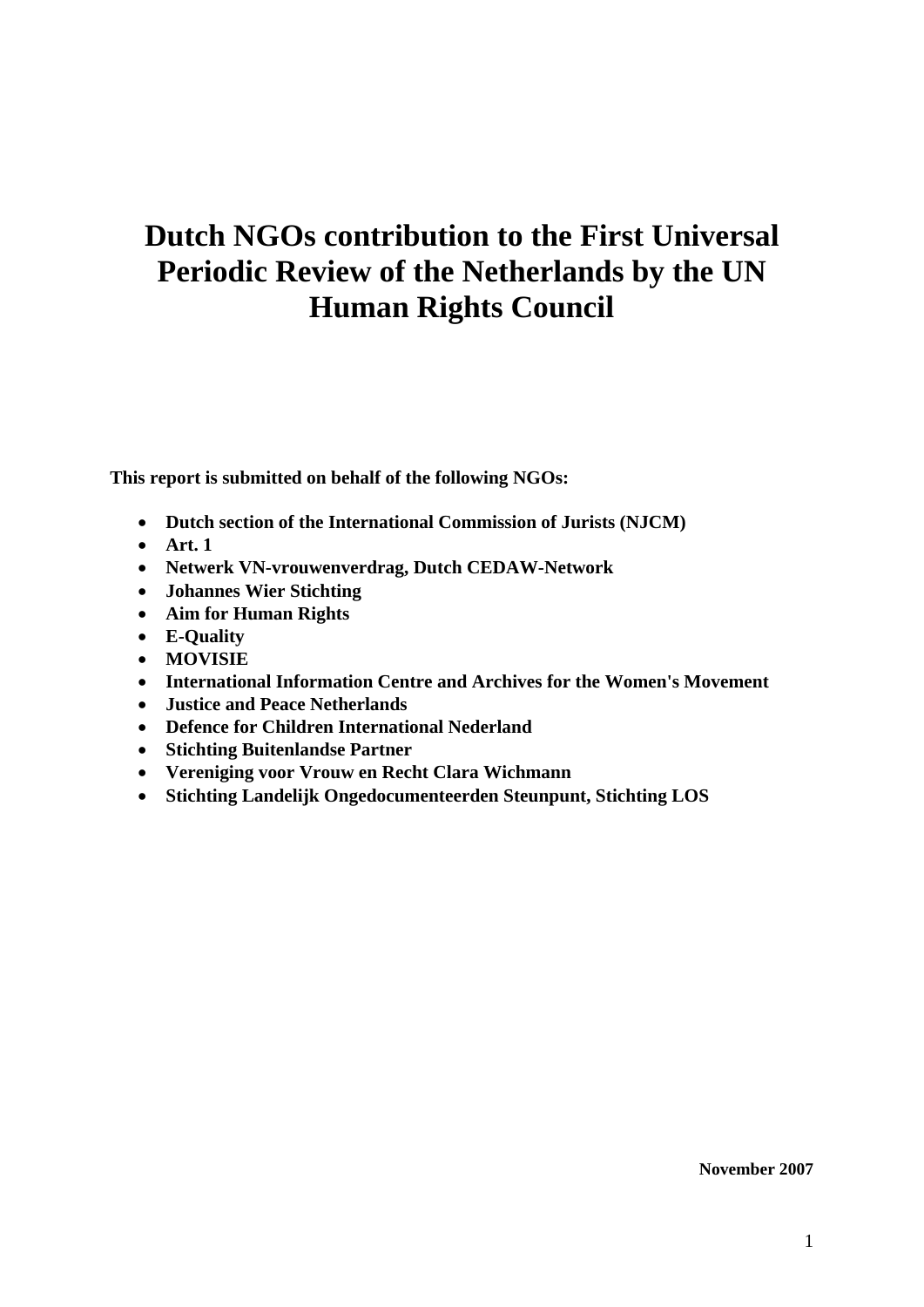# **Dutch NGOs contribution to the First Universal Periodic Review of the Netherlands by the UN Human Rights Council**

**This report is submitted on behalf of the following NGOs:**

- **Dutch section of the International Commission of Jurists (NJCM)**
- **Art. 1**
- **Netwerk VN-vrouwenverdrag, Dutch CEDAW-Network**
- **Johannes Wier Stichting**
- **Aim for Human Rights**
- **E-Quality**
- **MOVISIE**
- **International Information Centre and Archives for the Women's Movement**
- **Justice and Peace Netherlands**
- **Defence for Children International Nederland**
- **Stichting Buitenlandse Partner**
- **Vereniging voor Vrouw en Recht Clara Wichmann**
- **Stichting Landelijk Ongedocumenteerden Steunpunt, Stichting LOS**

**November 2007**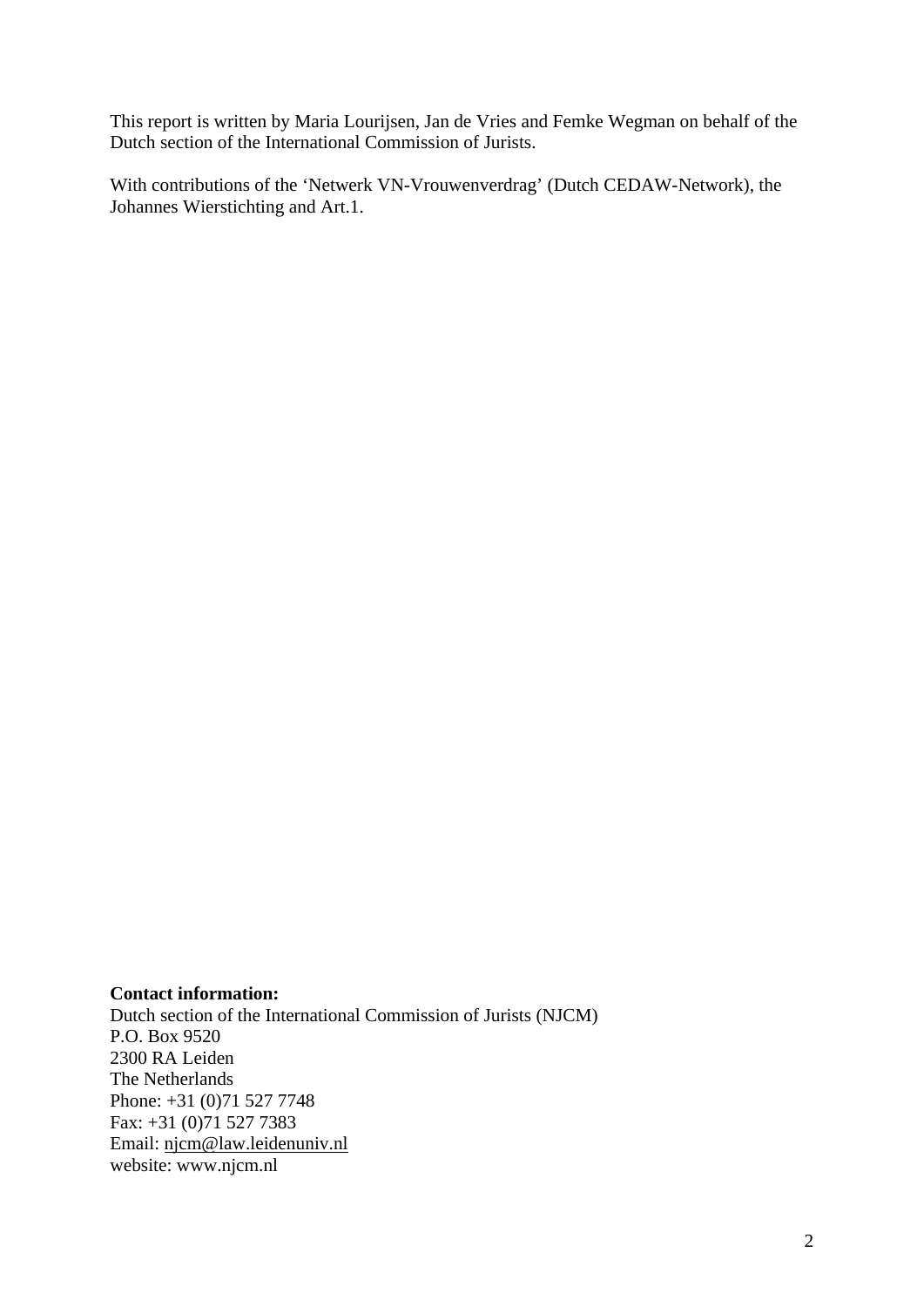This report is written by Maria Lourijsen, Jan de Vries and Femke Wegman on behalf of the Dutch section of the International Commission of Jurists.

With contributions of the 'Netwerk VN-Vrouwenverdrag' (Dutch CEDAW-Network), the Johannes Wierstichting and Art.1.

#### **Contact information:**

Dutch section of the International Commission of Jurists (NJCM) P.O. Box 9520 2300 RA Leiden The Netherlands Phone: +31 (0)71 527 7748 Fax: +31 (0)71 527 7383 Email: [njcm@law.leidenuniv.nl](mailto:njcm@law.leidenuniv.nl) website: www.njcm.nl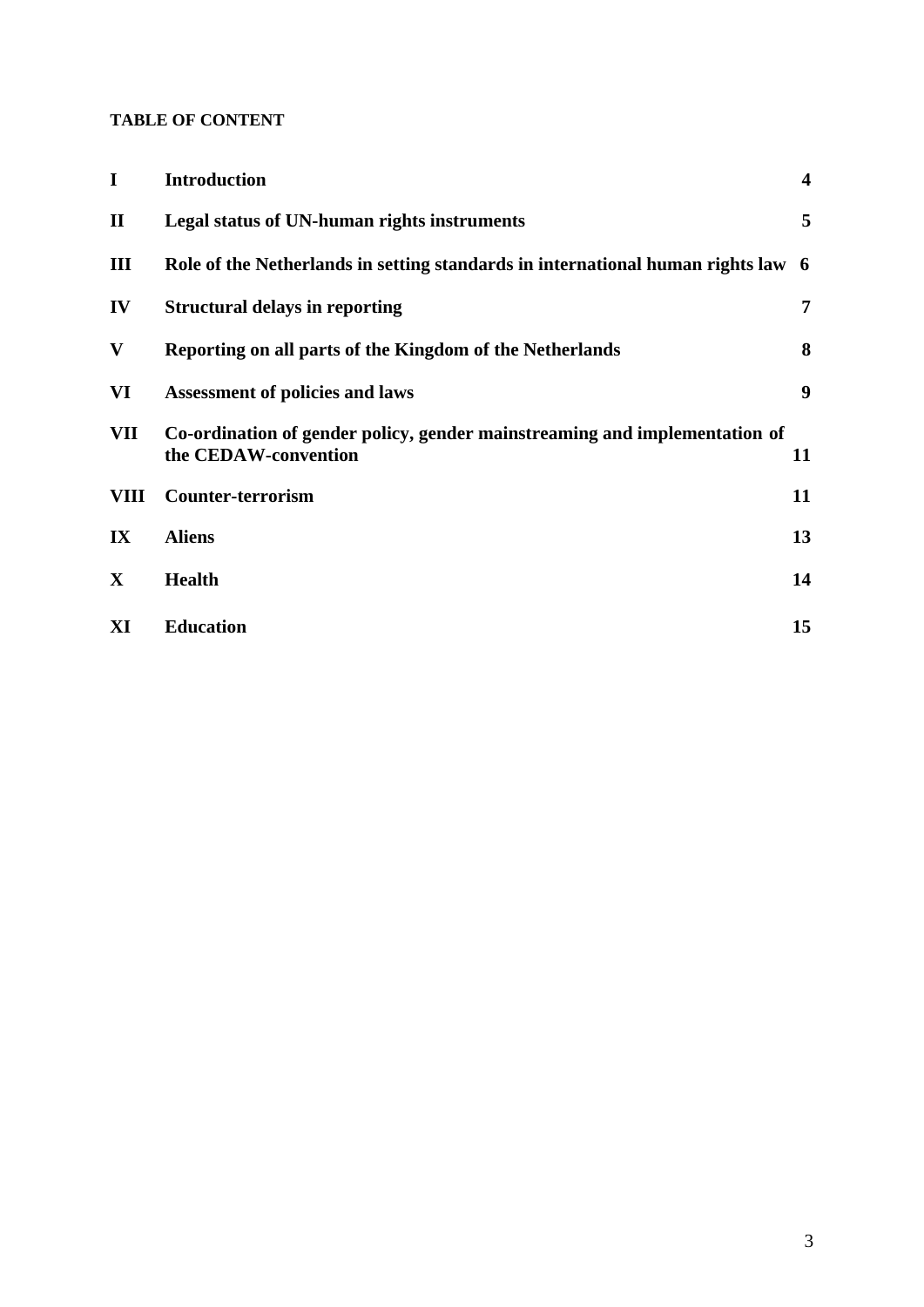#### **TABLE OF CONTENT**

| $\mathbf I$  | <b>Introduction</b>                                                                                | $\overline{\mathbf{4}}$ |
|--------------|----------------------------------------------------------------------------------------------------|-------------------------|
| $\mathbf{I}$ | <b>Legal status of UN-human rights instruments</b>                                                 | 5                       |
| III          | Role of the Netherlands in setting standards in international human rights law                     | - 6                     |
| IV           | <b>Structural delays in reporting</b>                                                              | $\overline{7}$          |
| V            | Reporting on all parts of the Kingdom of the Netherlands                                           | 8                       |
| VI           | <b>Assessment of policies and laws</b>                                                             | 9                       |
| VII          | Co-ordination of gender policy, gender mainstreaming and implementation of<br>the CEDAW-convention | 11                      |
| <b>VIII</b>  | <b>Counter-terrorism</b>                                                                           | 11                      |
| IX           | <b>Aliens</b>                                                                                      | 13                      |
| $\mathbf X$  | <b>Health</b>                                                                                      | 14                      |
| XI           | <b>Education</b>                                                                                   | 15                      |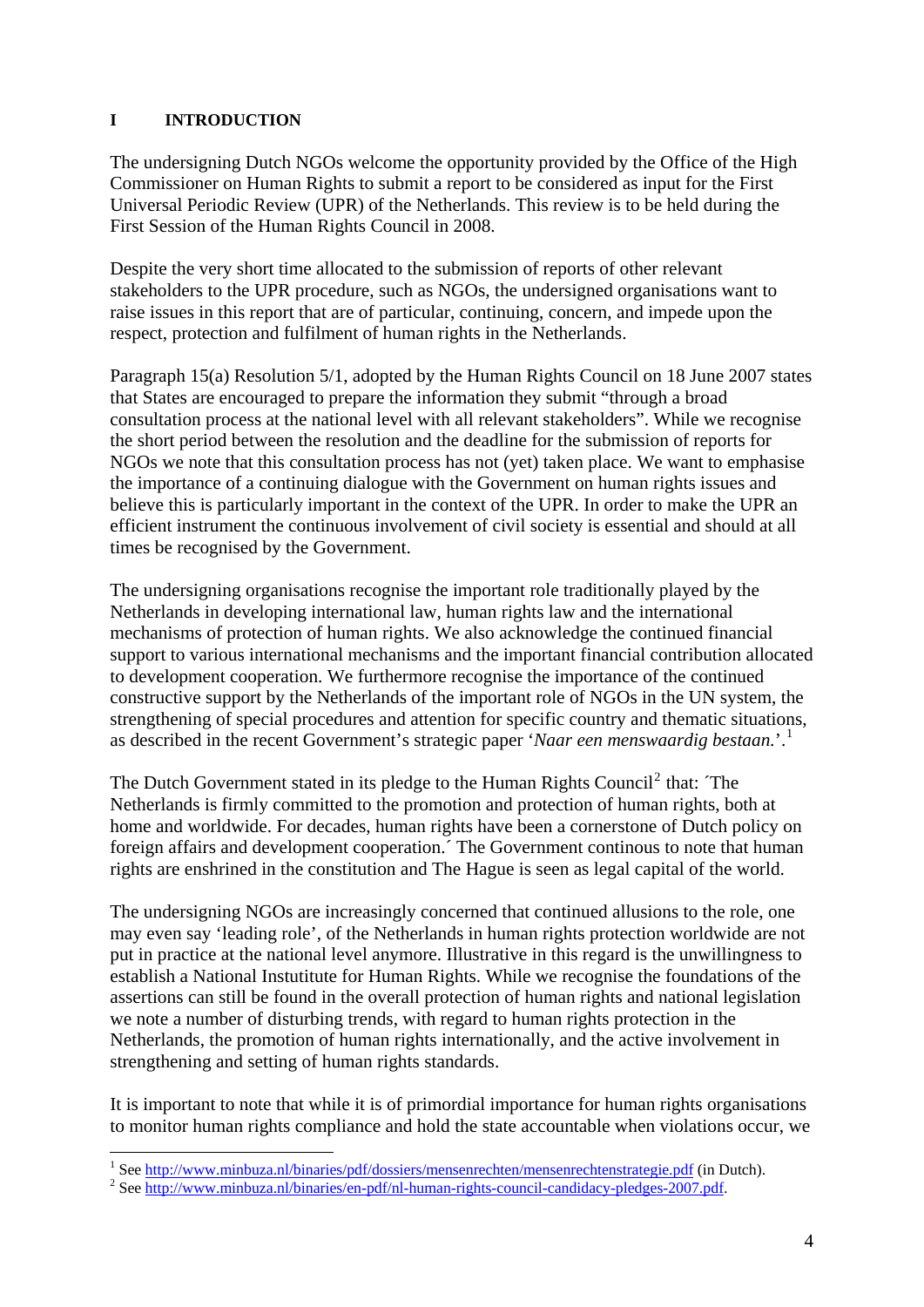#### **I INTRODUCTION**

The undersigning Dutch NGOs welcome the opportunity provided by the Office of the High Commissioner on Human Rights to submit a report to be considered as input for the First Universal Periodic Review (UPR) of the Netherlands. This review is to be held during the First Session of the Human Rights Council in 2008.

Despite the very short time allocated to the submission of reports of other relevant stakeholders to the UPR procedure, such as NGOs, the undersigned organisations want to raise issues in this report that are of particular, continuing, concern, and impede upon the respect, protection and fulfilment of human rights in the Netherlands.

Paragraph 15(a) Resolution 5/1, adopted by the Human Rights Council on 18 June 2007 states that States are encouraged to prepare the information they submit "through a broad consultation process at the national level with all relevant stakeholders". While we recognise the short period between the resolution and the deadline for the submission of reports for NGOs we note that this consultation process has not (yet) taken place. We want to emphasise the importance of a continuing dialogue with the Government on human rights issues and believe this is particularly important in the context of the UPR. In order to make the UPR an efficient instrument the continuous involvement of civil society is essential and should at all times be recognised by the Government.

The undersigning organisations recognise the important role traditionally played by the Netherlands in developing international law, human rights law and the international mechanisms of protection of human rights. We also acknowledge the continued financial support to various international mechanisms and the important financial contribution allocated to development cooperation. We furthermore recognise the importance of the continued constructive support by the Netherlands of the important role of NGOs in the UN system, the strengthening of special procedures and attention for specific country and thematic situations, as described in the recent Government's strategic paper '*Naar een menswaardig bestaan.*'.[1](#page-3-0)

The Dutch Government stated in its pledge to the Human Rights Council<sup>[2](#page-3-1)</sup> that: The Netherlands is firmly committed to the promotion and protection of human rights, both at home and worldwide. For decades, human rights have been a cornerstone of Dutch policy on foreign affairs and development cooperation.´ The Government continous to note that human rights are enshrined in the constitution and The Hague is seen as legal capital of the world.

The undersigning NGOs are increasingly concerned that continued allusions to the role, one may even say 'leading role', of the Netherlands in human rights protection worldwide are not put in practice at the national level anymore. Illustrative in this regard is the unwillingness to establish a National Instutitute for Human Rights. While we recognise the foundations of the assertions can still be found in the overall protection of human rights and national legislation we note a number of disturbing trends, with regard to human rights protection in the Netherlands, the promotion of human rights internationally, and the active involvement in strengthening and setting of human rights standards.

It is important to note that while it is of primordial importance for human rights organisations to monitor human rights compliance and hold the state accountable when violations occur, we

<sup>1&</sup>lt;br>
<sup>1</sup> See <u><http://www.minbuza.nl/binaries/pdf/dossiers/mensenrechten/mensenrechtenstrategie.pdf> (in Dutch).<br>
<sup>2</sup> See http://www.minbuza.nl/binaries/on.pdf/pl.human.rights.gouneil.gordideau.pledges.2007.pdf.</u>

<span id="page-3-1"></span><span id="page-3-0"></span><sup>&</sup>lt;sup>2</sup> See [http://www.minbuza.nl/binaries/en-pdf/nl-human-rights-council-candidacy-pledges-2007.pdf.](http://www.minbuza.nl/binaries/en-pdf/nl-human-rights-council-candidacy-pledges-2007.pdf)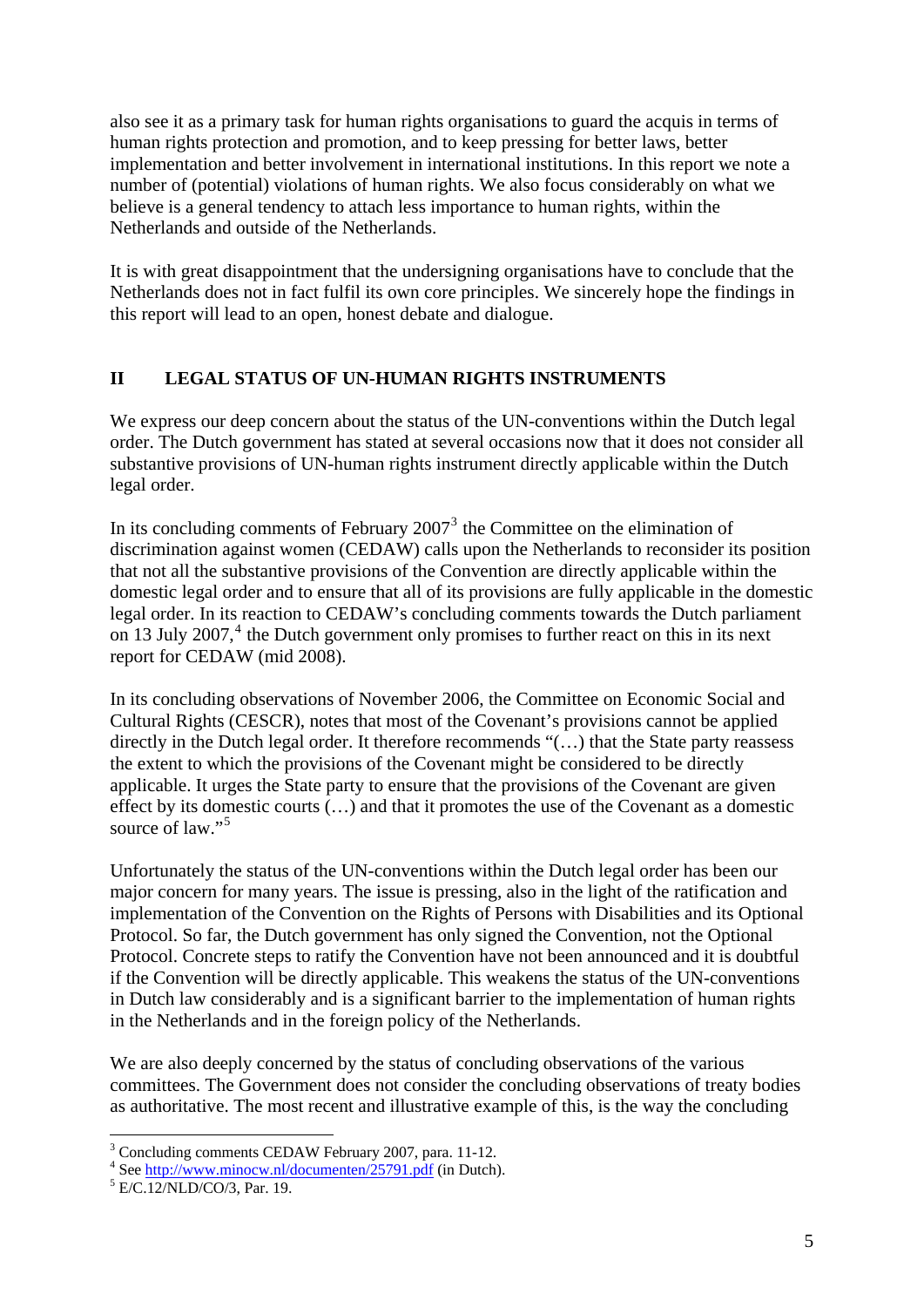also see it as a primary task for human rights organisations to guard the acquis in terms of human rights protection and promotion, and to keep pressing for better laws, better implementation and better involvement in international institutions. In this report we note a number of (potential) violations of human rights. We also focus considerably on what we believe is a general tendency to attach less importance to human rights, within the Netherlands and outside of the Netherlands.

It is with great disappointment that the undersigning organisations have to conclude that the Netherlands does not in fact fulfil its own core principles. We sincerely hope the findings in this report will lead to an open, honest debate and dialogue.

## **II LEGAL STATUS OF UN-HUMAN RIGHTS INSTRUMENTS**

We express our deep concern about the status of the UN-conventions within the Dutch legal order. The Dutch government has stated at several occasions now that it does not consider all substantive provisions of UN-human rights instrument directly applicable within the Dutch legal order.

In its concluding comments of February  $2007<sup>3</sup>$  $2007<sup>3</sup>$  $2007<sup>3</sup>$  the Committee on the elimination of discrimination against women (CEDAW) calls upon the Netherlands to reconsider its position that not all the substantive provisions of the Convention are directly applicable within the domestic legal order and to ensure that all of its provisions are fully applicable in the domestic legal order. In its reaction to CEDAW's concluding comments towards the Dutch parliament on 13 July 2007, $4$  the Dutch government only promises to further react on this in its next report for CEDAW (mid 2008).

In its concluding observations of November 2006, the Committee on Economic Social and Cultural Rights (CESCR), notes that most of the Covenant's provisions cannot be applied directly in the Dutch legal order. It therefore recommends "(...) that the State party reassess the extent to which the provisions of the Covenant might be considered to be directly applicable. It urges the State party to ensure that the provisions of the Covenant are given effect by its domestic courts (…) and that it promotes the use of the Covenant as a domestic source of law."<sup>[5](#page-4-2)</sup>

Unfortunately the status of the UN-conventions within the Dutch legal order has been our major concern for many years. The issue is pressing, also in the light of the ratification and implementation of the Convention on the Rights of Persons with Disabilities and its Optional Protocol. So far, the Dutch government has only signed the Convention, not the Optional Protocol. Concrete steps to ratify the Convention have not been announced and it is doubtful if the Convention will be directly applicable. This weakens the status of the UN-conventions in Dutch law considerably and is a significant barrier to the implementation of human rights in the Netherlands and in the foreign policy of the Netherlands.

We are also deeply concerned by the status of concluding observations of the various committees. The Government does not consider the concluding observations of treaty bodies as authoritative. The most recent and illustrative example of this, is the way the concluding

1

<span id="page-4-0"></span><sup>&</sup>lt;sup>3</sup> Concluding comments CEDAW February 2007, para. 11-12.

<span id="page-4-1"></span><sup>&</sup>lt;sup>4</sup> See <u><http://www.minocw.nl/documenten/25791.pdf></u> (in Dutch).

<span id="page-4-2"></span> $E/C.12/NLD/CO/3$ , Par. 19.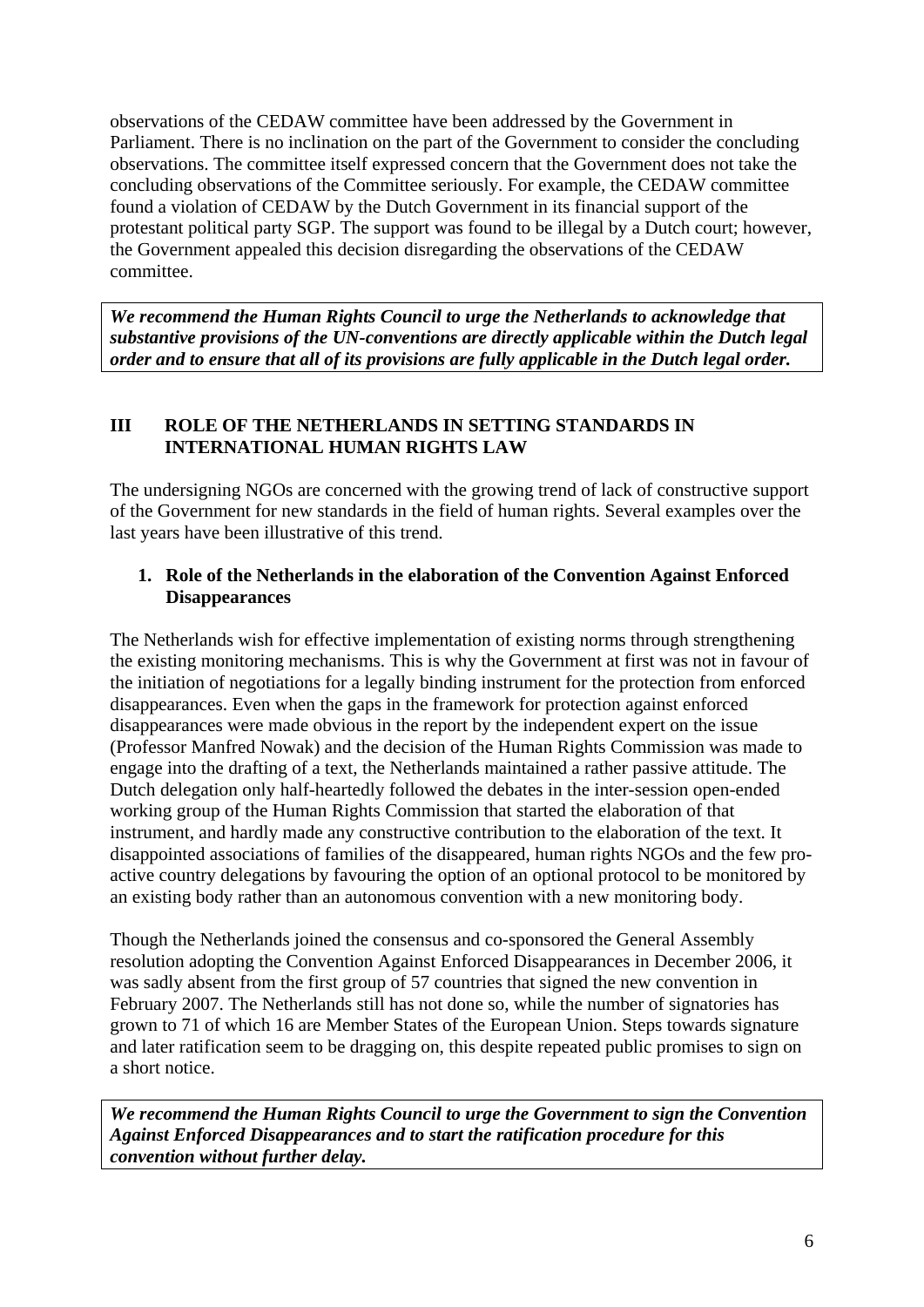observations of the CEDAW committee have been addressed by the Government in Parliament. There is no inclination on the part of the Government to consider the concluding observations. The committee itself expressed concern that the Government does not take the concluding observations of the Committee seriously. For example, the CEDAW committee found a violation of CEDAW by the Dutch Government in its financial support of the protestant political party SGP. The support was found to be illegal by a Dutch court; however, the Government appealed this decision disregarding the observations of the CEDAW committee.

*We recommend the Human Rights Council to urge the Netherlands to acknowledge that substantive provisions of the UN-conventions are directly applicable within the Dutch legal order and to ensure that all of its provisions are fully applicable in the Dutch legal order.* 

#### **III ROLE OF THE NETHERLANDS IN SETTING STANDARDS IN INTERNATIONAL HUMAN RIGHTS LAW**

The undersigning NGOs are concerned with the growing trend of lack of constructive support of the Government for new standards in the field of human rights. Several examples over the last years have been illustrative of this trend.

#### **1. Role of the Netherlands in the elaboration of the Convention Against Enforced Disappearances**

The Netherlands wish for effective implementation of existing norms through strengthening the existing monitoring mechanisms. This is why the Government at first was not in favour of the initiation of negotiations for a legally binding instrument for the protection from enforced disappearances. Even when the gaps in the framework for protection against enforced disappearances were made obvious in the report by the independent expert on the issue (Professor Manfred Nowak) and the decision of the Human Rights Commission was made to engage into the drafting of a text, the Netherlands maintained a rather passive attitude. The Dutch delegation only half-heartedly followed the debates in the inter-session open-ended working group of the Human Rights Commission that started the elaboration of that instrument, and hardly made any constructive contribution to the elaboration of the text. It disappointed associations of families of the disappeared, human rights NGOs and the few proactive country delegations by favouring the option of an optional protocol to be monitored by an existing body rather than an autonomous convention with a new monitoring body.

Though the Netherlands joined the consensus and co-sponsored the General Assembly resolution adopting the Convention Against Enforced Disappearances in December 2006, it was sadly absent from the first group of 57 countries that signed the new convention in February 2007. The Netherlands still has not done so, while the number of signatories has grown to 71 of which 16 are Member States of the European Union. Steps towards signature and later ratification seem to be dragging on, this despite repeated public promises to sign on a short notice.

*We recommend the Human Rights Council to urge the Government to sign the Convention Against Enforced Disappearances and to start the ratification procedure for this convention without further delay.*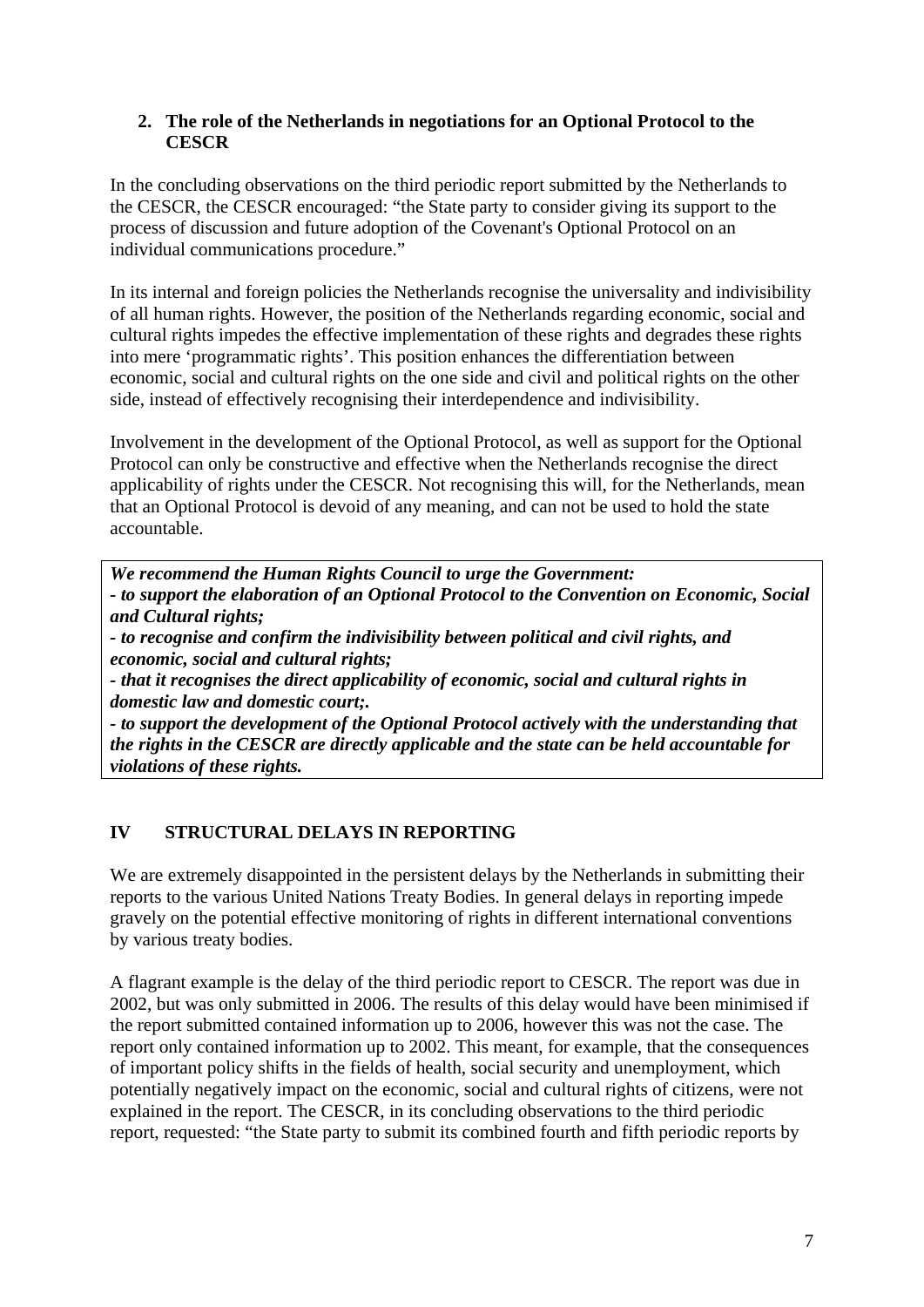#### **2. The role of the Netherlands in negotiations for an Optional Protocol to the CESCR**

In the concluding observations on the third periodic report submitted by the Netherlands to the CESCR, the CESCR encouraged: "the State party to consider giving its support to the process of discussion and future adoption of the Covenant's Optional Protocol on an individual communications procedure."

In its internal and foreign policies the Netherlands recognise the universality and indivisibility of all human rights. However, the position of the Netherlands regarding economic, social and cultural rights impedes the effective implementation of these rights and degrades these rights into mere 'programmatic rights'. This position enhances the differentiation between economic, social and cultural rights on the one side and civil and political rights on the other side, instead of effectively recognising their interdependence and indivisibility.

Involvement in the development of the Optional Protocol, as well as support for the Optional Protocol can only be constructive and effective when the Netherlands recognise the direct applicability of rights under the CESCR. Not recognising this will, for the Netherlands, mean that an Optional Protocol is devoid of any meaning, and can not be used to hold the state accountable.

*We recommend the Human Rights Council to urge the Government: - to support the elaboration of an Optional Protocol to the Convention on Economic, Social and Cultural rights;* 

*- to recognise and confirm the indivisibility between political and civil rights, and economic, social and cultural rights;* 

*- that it recognises the direct applicability of economic, social and cultural rights in domestic law and domestic court;.* 

*- to support the development of the Optional Protocol actively with the understanding that the rights in the CESCR are directly applicable and the state can be held accountable for violations of these rights.* 

## **IV STRUCTURAL DELAYS IN REPORTING**

We are extremely disappointed in the persistent delays by the Netherlands in submitting their reports to the various United Nations Treaty Bodies. In general delays in reporting impede gravely on the potential effective monitoring of rights in different international conventions by various treaty bodies.

A flagrant example is the delay of the third periodic report to CESCR. The report was due in 2002, but was only submitted in 2006. The results of this delay would have been minimised if the report submitted contained information up to 2006, however this was not the case. The report only contained information up to 2002. This meant, for example, that the consequences of important policy shifts in the fields of health, social security and unemployment, which potentially negatively impact on the economic, social and cultural rights of citizens, were not explained in the report. The CESCR, in its concluding observations to the third periodic report, requested: "the State party to submit its combined fourth and fifth periodic reports by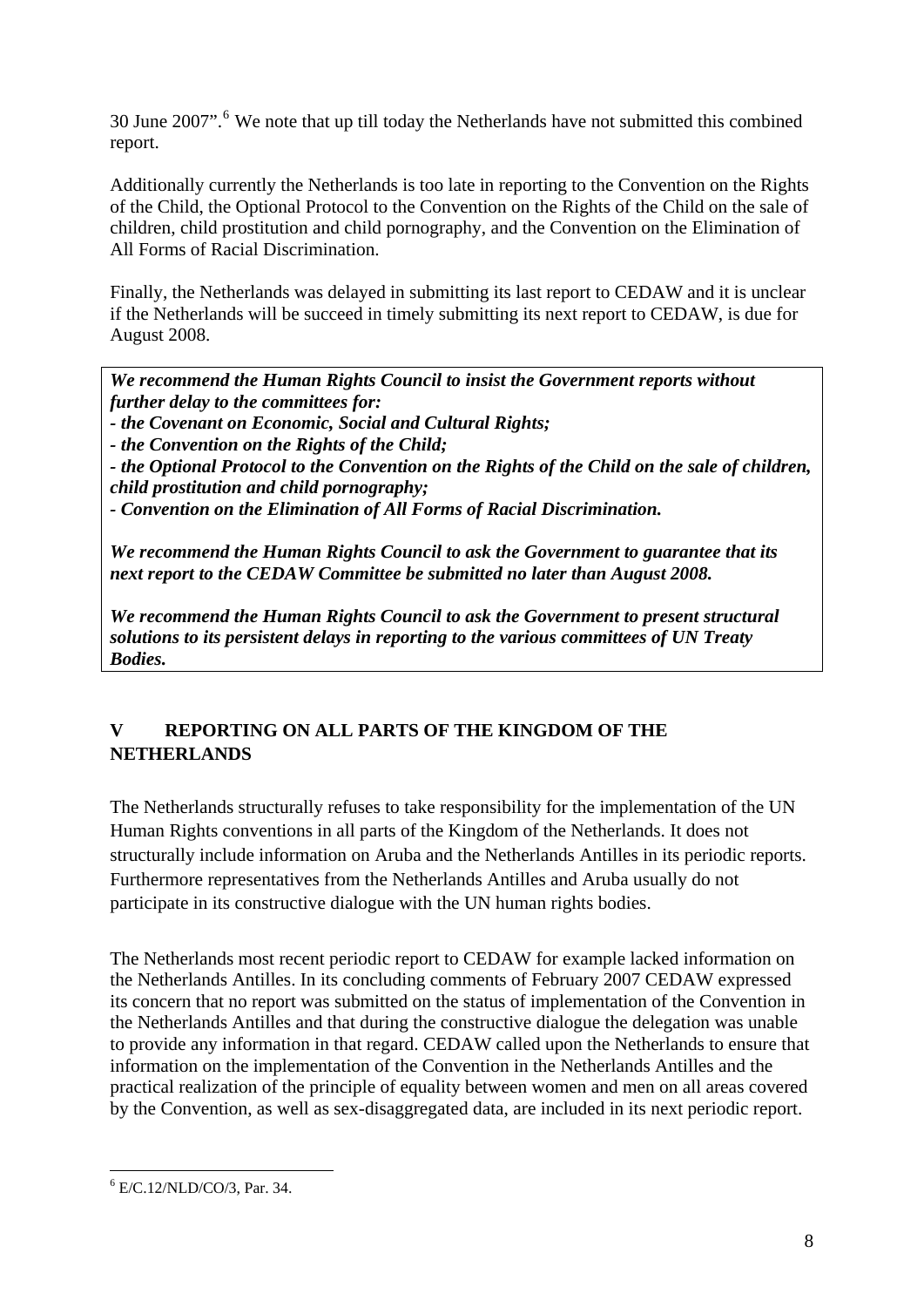30 June 2007".<sup>[6](#page-7-0)</sup> We note that up till today the Netherlands have not submitted this combined report.

Additionally currently the Netherlands is too late in reporting to the Convention on the Rights of the Child, the Optional Protocol to the Convention on the Rights of the Child on the sale of children, child prostitution and child pornography, and the Convention on the Elimination of All Forms of Racial Discrimination.

Finally, the Netherlands was delayed in submitting its last report to CEDAW and it is unclear if the Netherlands will be succeed in timely submitting its next report to CEDAW, is due for August 2008.

*We recommend the Human Rights Council to insist the Government reports without further delay to the committees for:* 

*- the Covenant on Economic, Social and Cultural Rights;* 

*- the Convention on the Rights of the Child;* 

*- the Optional Protocol to the Convention on the Rights of the Child on the sale of children, child prostitution and child pornography;* 

*- Convention on the Elimination of All Forms of Racial Discrimination.* 

*We recommend the Human Rights Council to ask the Government to guarantee that its next report to the CEDAW Committee be submitted no later than August 2008.* 

*We recommend the Human Rights Council to ask the Government to present structural solutions to its persistent delays in reporting to the various committees of UN Treaty Bodies.* 

## **V REPORTING ON ALL PARTS OF THE KINGDOM OF THE NETHERLANDS**

The Netherlands structurally refuses to take responsibility for the implementation of the UN Human Rights conventions in all parts of the Kingdom of the Netherlands. It does not structurally include information on Aruba and the Netherlands Antilles in its periodic reports. Furthermore representatives from the Netherlands Antilles and Aruba usually do not participate in its constructive dialogue with the UN human rights bodies.

The Netherlands most recent periodic report to CEDAW for example lacked information on the Netherlands Antilles. In its concluding comments of February 2007 CEDAW expressed its concern that no report was submitted on the status of implementation of the Convention in the Netherlands Antilles and that during the constructive dialogue the delegation was unable to provide any information in that regard. CEDAW called upon the Netherlands to ensure that information on the implementation of the Convention in the Netherlands Antilles and the practical realization of the principle of equality between women and men on all areas covered by the Convention, as well as sex-disaggregated data, are included in its next periodic report.

<span id="page-7-0"></span><sup>1</sup> 6 E/C.12/NLD/CO/3, Par. 34.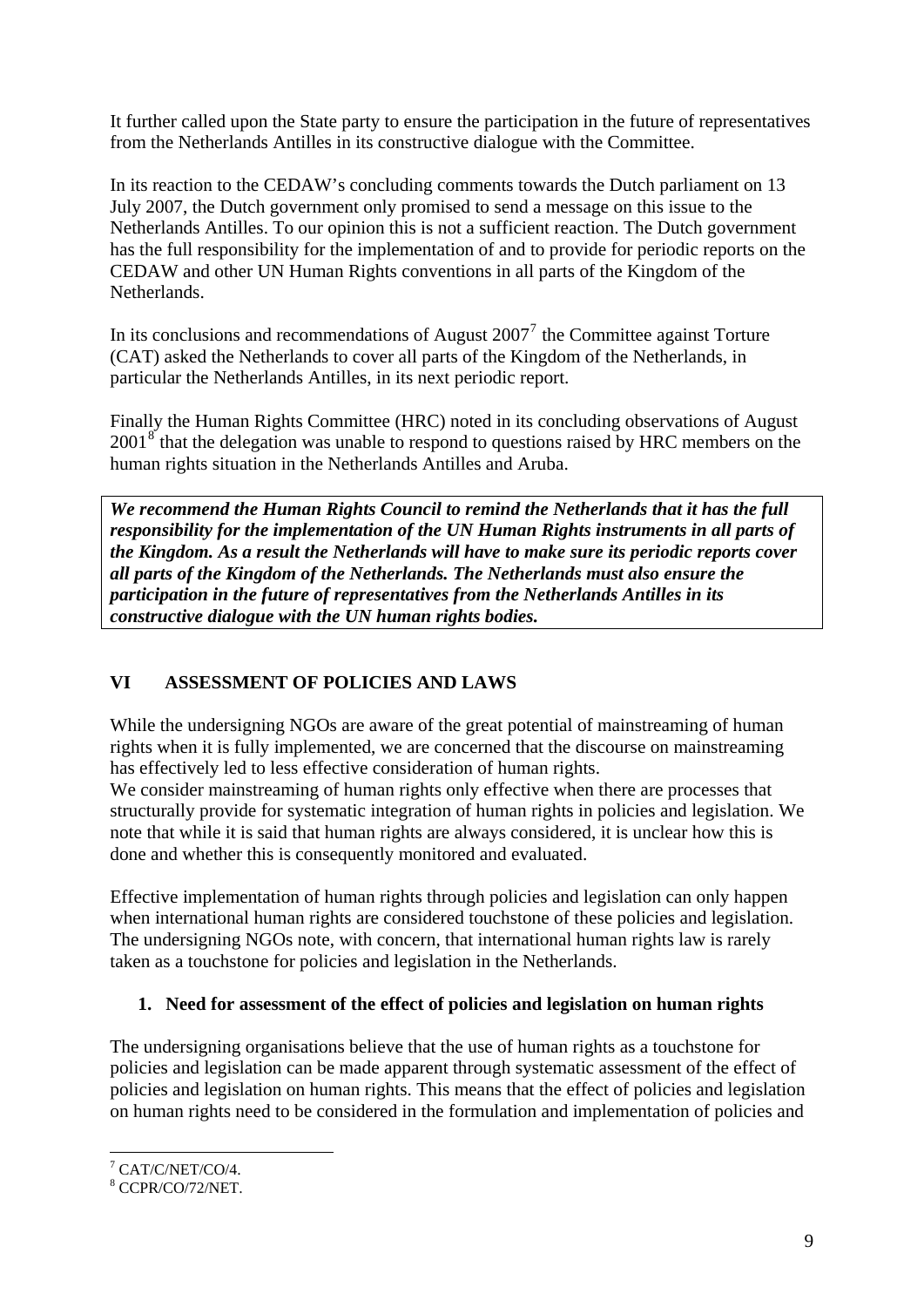It further called upon the State party to ensure the participation in the future of representatives from the Netherlands Antilles in its constructive dialogue with the Committee.

In its reaction to the CEDAW's concluding comments towards the Dutch parliament on 13 July 2007, the Dutch government only promised to send a message on this issue to the Netherlands Antilles. To our opinion this is not a sufficient reaction. The Dutch government has the full responsibility for the implementation of and to provide for periodic reports on the CEDAW and other UN Human Rights conventions in all parts of the Kingdom of the Netherlands.

In its conclusions and recommendations of August  $2007<sup>7</sup>$  $2007<sup>7</sup>$  $2007<sup>7</sup>$  the Committee against Torture (CAT) asked the Netherlands to cover all parts of the Kingdom of the Netherlands, in particular the Netherlands Antilles, in its next periodic report.

Finally the Human Rights Committee (HRC) noted in its concluding observations of August 2001<sup>[8](#page-8-1)</sup> that the delegation was unable to respond to questions raised by HRC members on the human rights situation in the Netherlands Antilles and Aruba.

*We recommend the Human Rights Council to remind the Netherlands that it has the full responsibility for the implementation of the UN Human Rights instruments in all parts of the Kingdom. As a result the Netherlands will have to make sure its periodic reports cover all parts of the Kingdom of the Netherlands. The Netherlands must also ensure the participation in the future of representatives from the Netherlands Antilles in its constructive dialogue with the UN human rights bodies.* 

## **VI ASSESSMENT OF POLICIES AND LAWS**

While the undersigning NGOs are aware of the great potential of mainstreaming of human rights when it is fully implemented, we are concerned that the discourse on mainstreaming has effectively led to less effective consideration of human rights.

We consider mainstreaming of human rights only effective when there are processes that structurally provide for systematic integration of human rights in policies and legislation. We note that while it is said that human rights are always considered, it is unclear how this is done and whether this is consequently monitored and evaluated.

Effective implementation of human rights through policies and legislation can only happen when international human rights are considered touchstone of these policies and legislation. The undersigning NGOs note, with concern, that international human rights law is rarely taken as a touchstone for policies and legislation in the Netherlands.

## **1. Need for assessment of the effect of policies and legislation on human rights**

The undersigning organisations believe that the use of human rights as a touchstone for policies and legislation can be made apparent through systematic assessment of the effect of policies and legislation on human rights. This means that the effect of policies and legislation on human rights need to be considered in the formulation and implementation of policies and

<span id="page-8-0"></span><sup>&</sup>lt;u>.</u>  $7$  CAT/C/NET/CO/4.

<span id="page-8-1"></span><sup>8</sup> CCPR/CO/72/NET.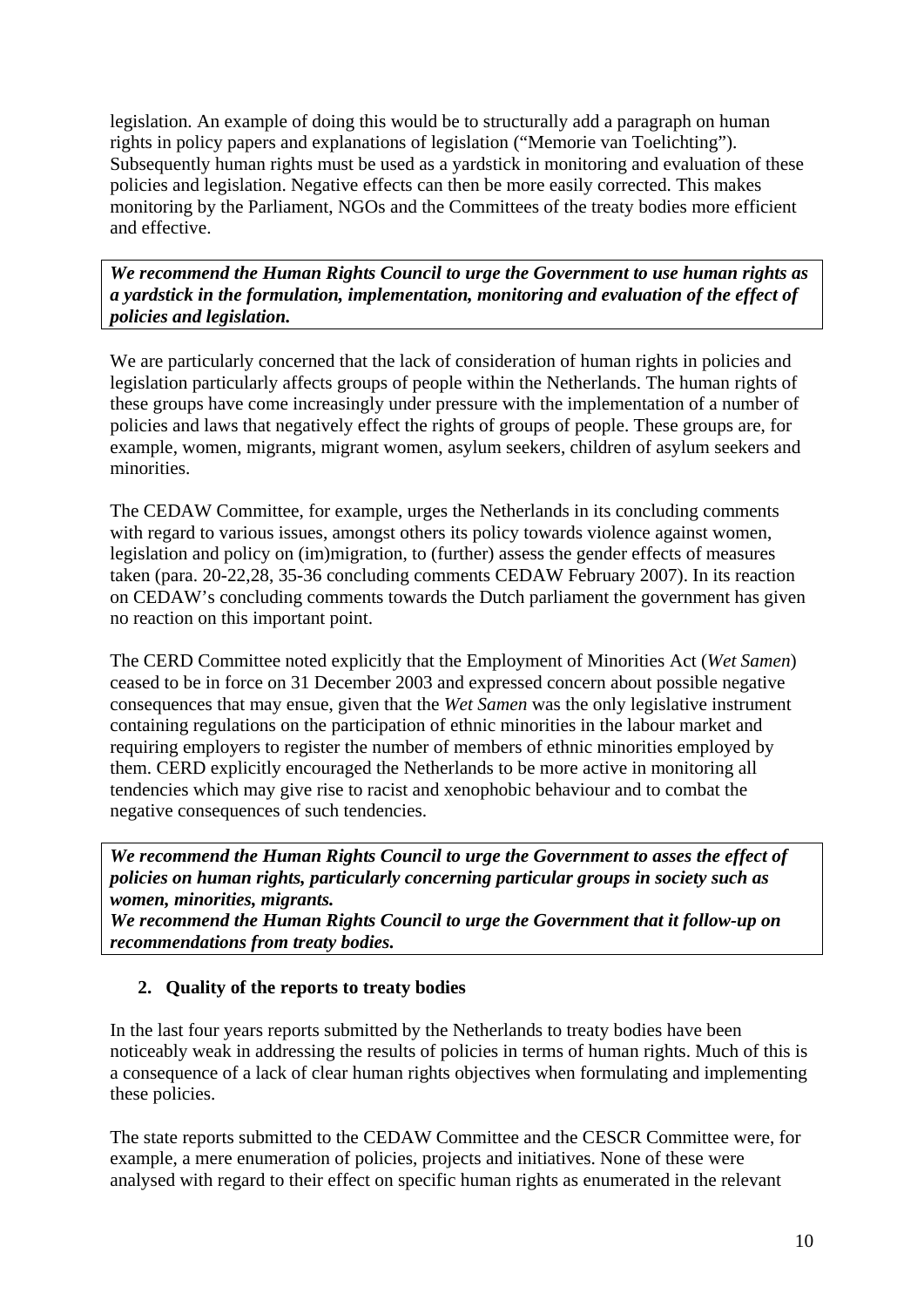legislation. An example of doing this would be to structurally add a paragraph on human rights in policy papers and explanations of legislation ("Memorie van Toelichting"). Subsequently human rights must be used as a yardstick in monitoring and evaluation of these policies and legislation. Negative effects can then be more easily corrected. This makes monitoring by the Parliament, NGOs and the Committees of the treaty bodies more efficient and effective.

*We recommend the Human Rights Council to urge the Government to use human rights as a yardstick in the formulation, implementation, monitoring and evaluation of the effect of policies and legislation.* 

We are particularly concerned that the lack of consideration of human rights in policies and legislation particularly affects groups of people within the Netherlands. The human rights of these groups have come increasingly under pressure with the implementation of a number of policies and laws that negatively effect the rights of groups of people. These groups are, for example, women, migrants, migrant women, asylum seekers, children of asylum seekers and minorities.

The CEDAW Committee, for example, urges the Netherlands in its concluding comments with regard to various issues, amongst others its policy towards violence against women, legislation and policy on (im)migration, to (further) assess the gender effects of measures taken (para. 20-22,28, 35-36 concluding comments CEDAW February 2007). In its reaction on CEDAW's concluding comments towards the Dutch parliament the government has given no reaction on this important point.

The CERD Committee noted explicitly that the Employment of Minorities Act (*Wet Samen*) ceased to be in force on 31 December 2003 and expressed concern about possible negative consequences that may ensue, given that the *Wet Samen* was the only legislative instrument containing regulations on the participation of ethnic minorities in the labour market and requiring employers to register the number of members of ethnic minorities employed by them. CERD explicitly encouraged the Netherlands to be more active in monitoring all tendencies which may give rise to racist and xenophobic behaviour and to combat the negative consequences of such tendencies.

*We recommend the Human Rights Council to urge the Government to asses the effect of policies on human rights, particularly concerning particular groups in society such as women, minorities, migrants.* 

*We recommend the Human Rights Council to urge the Government that it follow-up on recommendations from treaty bodies.* 

## **2. Quality of the reports to treaty bodies**

In the last four years reports submitted by the Netherlands to treaty bodies have been noticeably weak in addressing the results of policies in terms of human rights. Much of this is a consequence of a lack of clear human rights objectives when formulating and implementing these policies.

The state reports submitted to the CEDAW Committee and the CESCR Committee were, for example, a mere enumeration of policies, projects and initiatives. None of these were analysed with regard to their effect on specific human rights as enumerated in the relevant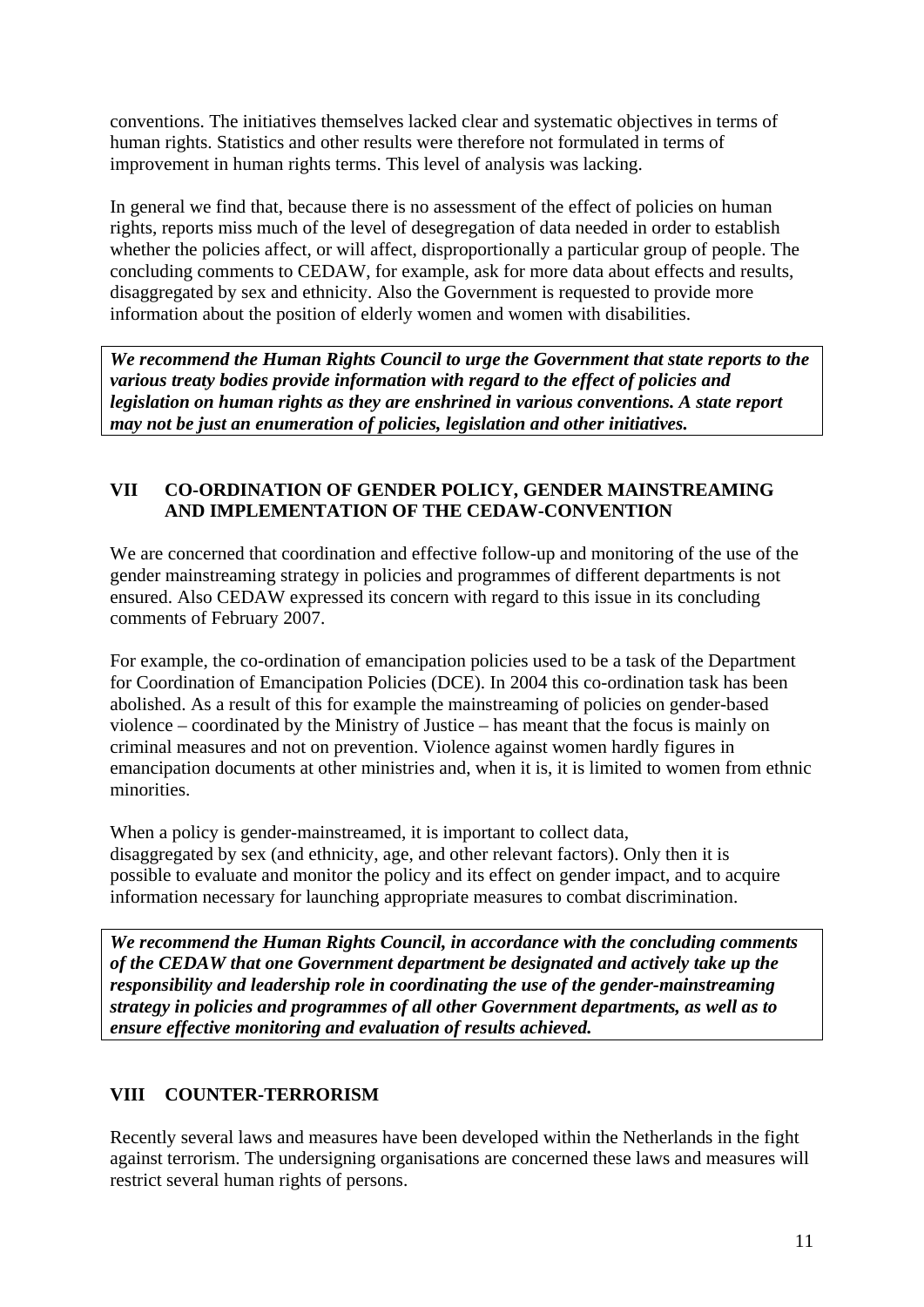conventions. The initiatives themselves lacked clear and systematic objectives in terms of human rights. Statistics and other results were therefore not formulated in terms of improvement in human rights terms. This level of analysis was lacking.

In general we find that, because there is no assessment of the effect of policies on human rights, reports miss much of the level of desegregation of data needed in order to establish whether the policies affect, or will affect, disproportionally a particular group of people. The concluding comments to CEDAW, for example, ask for more data about effects and results, disaggregated by sex and ethnicity. Also the Government is requested to provide more information about the position of elderly women and women with disabilities.

*We recommend the Human Rights Council to urge the Government that state reports to the various treaty bodies provide information with regard to the effect of policies and legislation on human rights as they are enshrined in various conventions. A state report may not be just an enumeration of policies, legislation and other initiatives.* 

#### **VII CO-ORDINATION OF GENDER POLICY, GENDER MAINSTREAMING AND IMPLEMENTATION OF THE CEDAW-CONVENTION**

We are concerned that coordination and effective follow-up and monitoring of the use of the gender mainstreaming strategy in policies and programmes of different departments is not ensured. Also CEDAW expressed its concern with regard to this issue in its concluding comments of February 2007.

For example, the co-ordination of emancipation policies used to be a task of the Department for Coordination of Emancipation Policies (DCE). In 2004 this co-ordination task has been abolished. As a result of this for example the mainstreaming of policies on gender-based violence – coordinated by the Ministry of Justice – has meant that the focus is mainly on criminal measures and not on prevention. Violence against women hardly figures in emancipation documents at other ministries and, when it is, it is limited to women from ethnic minorities.

When a policy is gender-mainstreamed, it is important to collect data, disaggregated by sex (and ethnicity, age, and other relevant factors). Only then it is possible to evaluate and monitor the policy and its effect on gender impact, and to acquire information necessary for launching appropriate measures to combat discrimination.

*We recommend the Human Rights Council, in accordance with the concluding comments of the CEDAW that one Government department be designated and actively take up the responsibility and leadership role in coordinating the use of the gender-mainstreaming strategy in policies and programmes of all other Government departments, as well as to ensure effective monitoring and evaluation of results achieved.* 

## **VIII COUNTER-TERRORISM**

Recently several laws and measures have been developed within the Netherlands in the fight against terrorism. The undersigning organisations are concerned these laws and measures will restrict several human rights of persons.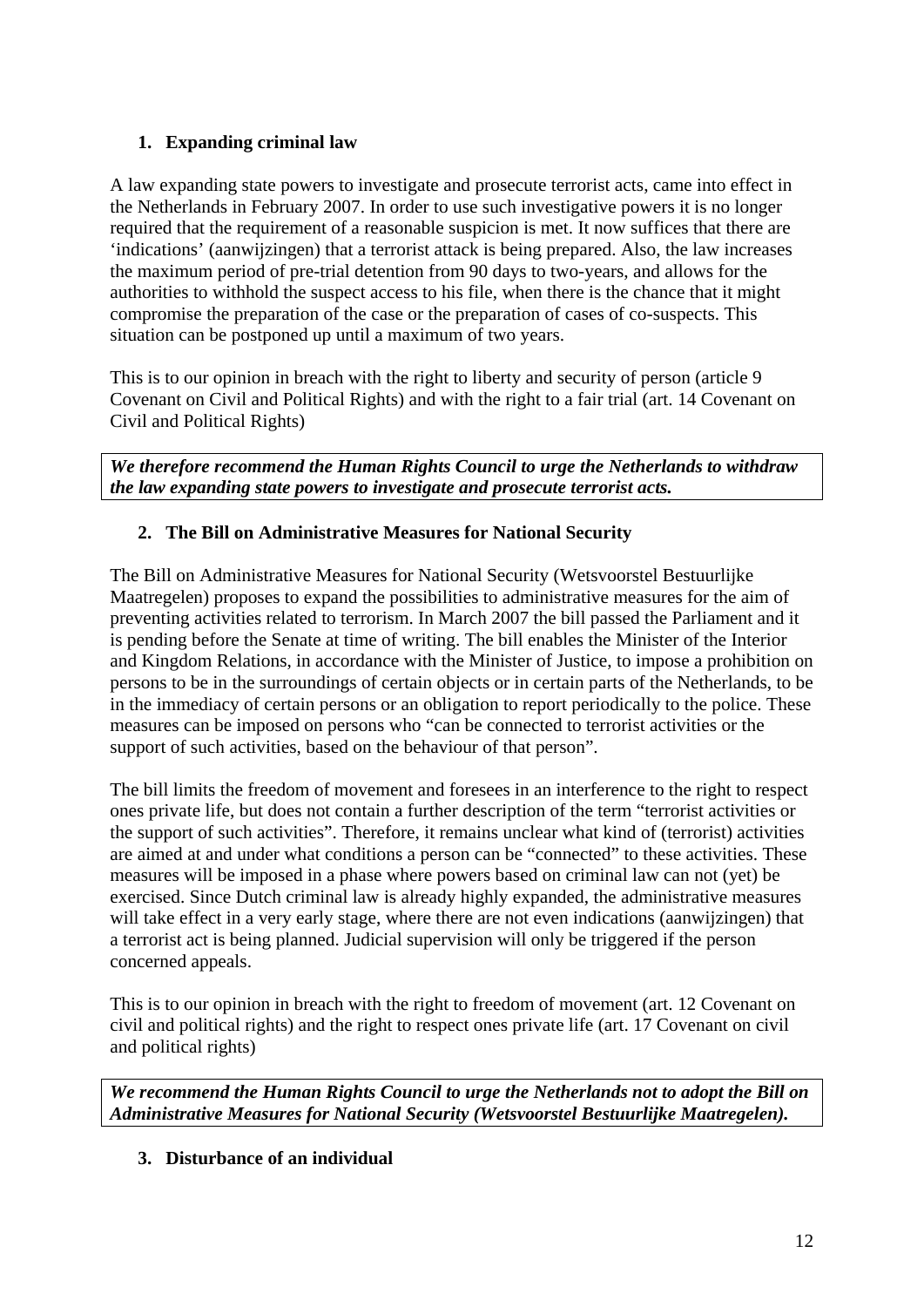## **1. Expanding criminal law**

A law expanding state powers to investigate and prosecute terrorist acts, came into effect in the Netherlands in February 2007. In order to use such investigative powers it is no longer required that the requirement of a reasonable suspicion is met. It now suffices that there are 'indications' (aanwijzingen) that a terrorist attack is being prepared. Also, the law increases the maximum period of pre-trial detention from 90 days to two-years, and allows for the authorities to withhold the suspect access to his file, when there is the chance that it might compromise the preparation of the case or the preparation of cases of co-suspects. This situation can be postponed up until a maximum of two years.

This is to our opinion in breach with the right to liberty and security of person (article 9 Covenant on Civil and Political Rights) and with the right to a fair trial (art. 14 Covenant on Civil and Political Rights)

*We therefore recommend the Human Rights Council to urge the Netherlands to withdraw the law expanding state powers to investigate and prosecute terrorist acts.* 

#### **2. The Bill on Administrative Measures for National Security**

The Bill on Administrative Measures for National Security (Wetsvoorstel Bestuurlijke Maatregelen) proposes to expand the possibilities to administrative measures for the aim of preventing activities related to terrorism. In March 2007 the bill passed the Parliament and it is pending before the Senate at time of writing. The bill enables the Minister of the Interior and Kingdom Relations, in accordance with the Minister of Justice, to impose a prohibition on persons to be in the surroundings of certain objects or in certain parts of the Netherlands, to be in the immediacy of certain persons or an obligation to report periodically to the police. These measures can be imposed on persons who "can be connected to terrorist activities or the support of such activities, based on the behaviour of that person".

The bill limits the freedom of movement and foresees in an interference to the right to respect ones private life, but does not contain a further description of the term "terrorist activities or the support of such activities". Therefore, it remains unclear what kind of (terrorist) activities are aimed at and under what conditions a person can be "connected" to these activities. These measures will be imposed in a phase where powers based on criminal law can not (yet) be exercised. Since Dutch criminal law is already highly expanded, the administrative measures will take effect in a very early stage, where there are not even indications (aanwijzingen) that a terrorist act is being planned. Judicial supervision will only be triggered if the person concerned appeals.

This is to our opinion in breach with the right to freedom of movement (art. 12 Covenant on civil and political rights) and the right to respect ones private life (art. 17 Covenant on civil and political rights)

*We recommend the Human Rights Council to urge the Netherlands not to adopt the Bill on Administrative Measures for National Security (Wetsvoorstel Bestuurlijke Maatregelen).* 

#### **3. Disturbance of an individual**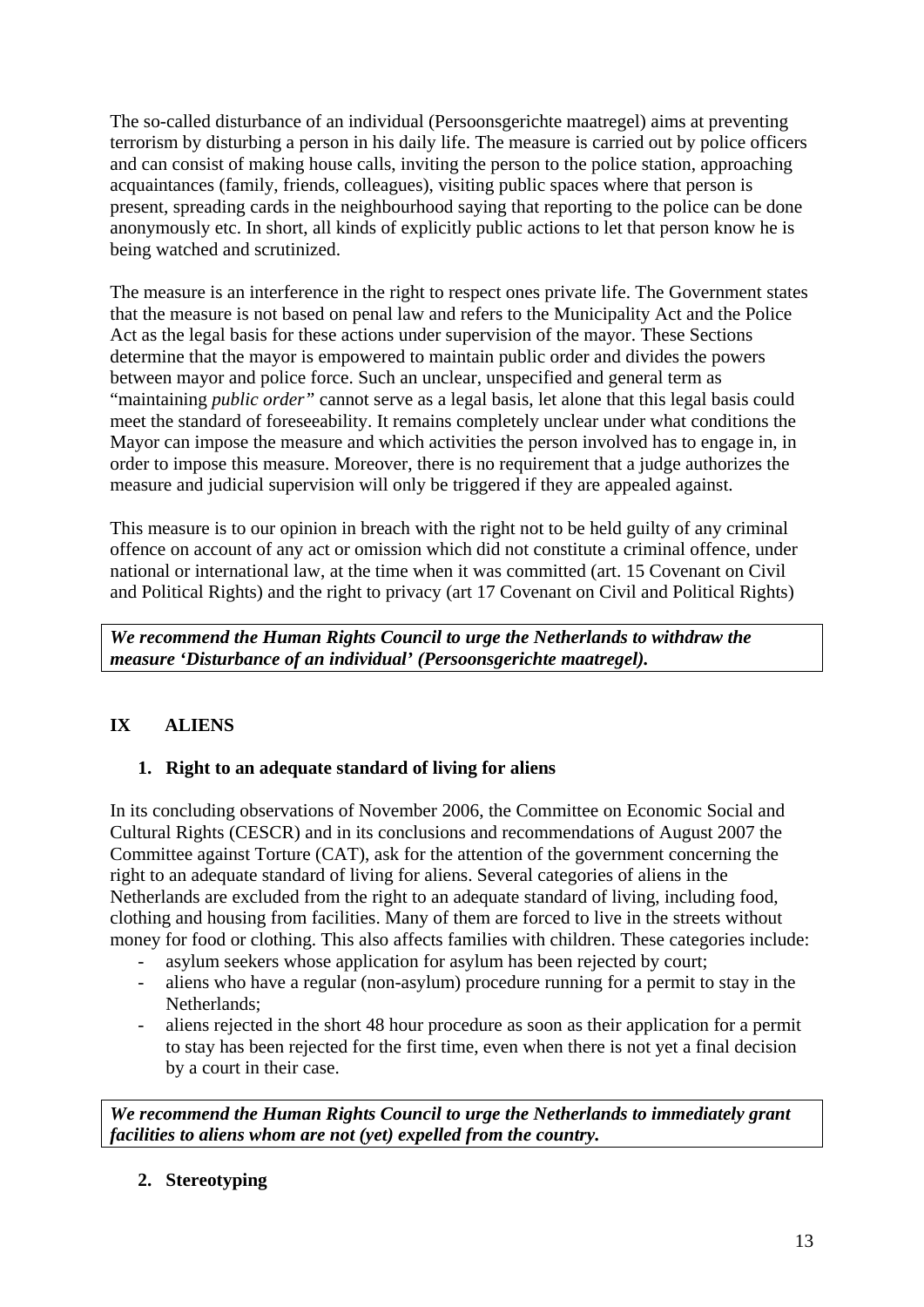The so-called disturbance of an individual (Persoonsgerichte maatregel) aims at preventing terrorism by disturbing a person in his daily life. The measure is carried out by police officers and can consist of making house calls, inviting the person to the police station, approaching acquaintances (family, friends, colleagues), visiting public spaces where that person is present, spreading cards in the neighbourhood saying that reporting to the police can be done anonymously etc. In short, all kinds of explicitly public actions to let that person know he is being watched and scrutinized.

The measure is an interference in the right to respect ones private life. The Government states that the measure is not based on penal law and refers to the Municipality Act and the Police Act as the legal basis for these actions under supervision of the mayor. These Sections determine that the mayor is empowered to maintain public order and divides the powers between mayor and police force. Such an unclear, unspecified and general term as "maintaining *public order"* cannot serve as a legal basis, let alone that this legal basis could meet the standard of foreseeability. It remains completely unclear under what conditions the Mayor can impose the measure and which activities the person involved has to engage in, in order to impose this measure. Moreover, there is no requirement that a judge authorizes the measure and judicial supervision will only be triggered if they are appealed against.

This measure is to our opinion in breach with the right not to be held guilty of any criminal offence on account of any act or omission which did not constitute a criminal offence, under national or international law, at the time when it was committed (art. 15 Covenant on Civil and Political Rights) and the right to privacy (art 17 Covenant on Civil and Political Rights)

*We recommend the Human Rights Council to urge the Netherlands to withdraw the measure 'Disturbance of an individual' (Persoonsgerichte maatregel).* 

## **IX ALIENS**

#### **1. Right to an adequate standard of living for aliens**

In its concluding observations of November 2006, the Committee on Economic Social and Cultural Rights (CESCR) and in its conclusions and recommendations of August 2007 the Committee against Torture (CAT), ask for the attention of the government concerning the right to an adequate standard of living for aliens. Several categories of aliens in the Netherlands are excluded from the right to an adequate standard of living, including food, clothing and housing from facilities. Many of them are forced to live in the streets without money for food or clothing. This also affects families with children. These categories include:

- asylum seekers whose application for asylum has been rejected by court;
- aliens who have a regular (non-asylum) procedure running for a permit to stay in the Netherlands;
- aliens rejected in the short 48 hour procedure as soon as their application for a permit to stay has been rejected for the first time, even when there is not yet a final decision by a court in their case.

*We recommend the Human Rights Council to urge the Netherlands to immediately grant facilities to aliens whom are not (yet) expelled from the country.* 

#### **2. Stereotyping**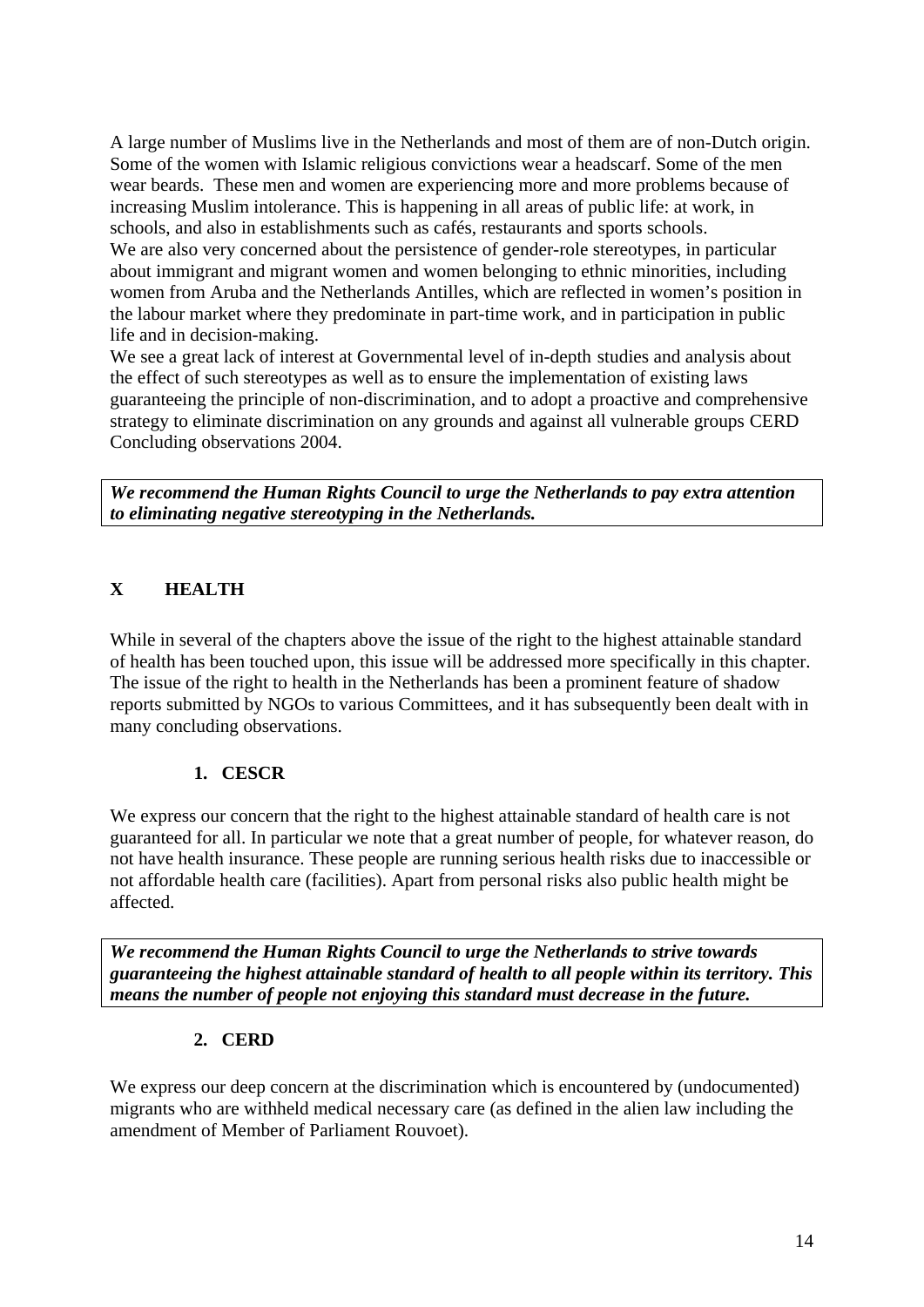A large number of Muslims live in the Netherlands and most of them are of non-Dutch origin. Some of the women with Islamic religious convictions wear a headscarf. Some of the men wear beards. These men and women are experiencing more and more problems because of increasing Muslim intolerance. This is happening in all areas of public life: at work, in schools, and also in establishments such as cafés, restaurants and sports schools.

We are also very concerned about the persistence of gender-role stereotypes, in particular about immigrant and migrant women and women belonging to ethnic minorities, including women from Aruba and the Netherlands Antilles, which are reflected in women's position in the labour market where they predominate in part-time work, and in participation in public life and in decision-making.

We see a great lack of interest at Governmental level of in-depth studies and analysis about the effect of such stereotypes as well as to ensure the implementation of existing laws guaranteeing the principle of non-discrimination, and to adopt a proactive and comprehensive strategy to eliminate discrimination on any grounds and against all vulnerable groups CERD Concluding observations 2004.

*We recommend the Human Rights Council to urge the Netherlands to pay extra attention to eliminating negative stereotyping in the Netherlands.* 

#### **X HEALTH**

While in several of the chapters above the issue of the right to the highest attainable standard of health has been touched upon, this issue will be addressed more specifically in this chapter. The issue of the right to health in the Netherlands has been a prominent feature of shadow reports submitted by NGOs to various Committees, and it has subsequently been dealt with in many concluding observations.

#### **1. CESCR**

We express our concern that the right to the highest attainable standard of health care is not guaranteed for all. In particular we note that a great number of people, for whatever reason, do not have health insurance. These people are running serious health risks due to inaccessible or not affordable health care (facilities). Apart from personal risks also public health might be affected.

*We recommend the Human Rights Council to urge the Netherlands to strive towards guaranteeing the highest attainable standard of health to all people within its territory. This means the number of people not enjoying this standard must decrease in the future.* 

#### **2. CERD**

We express our deep concern at the discrimination which is encountered by (undocumented) migrants who are withheld medical necessary care (as defined in the alien law including the amendment of Member of Parliament Rouvoet).